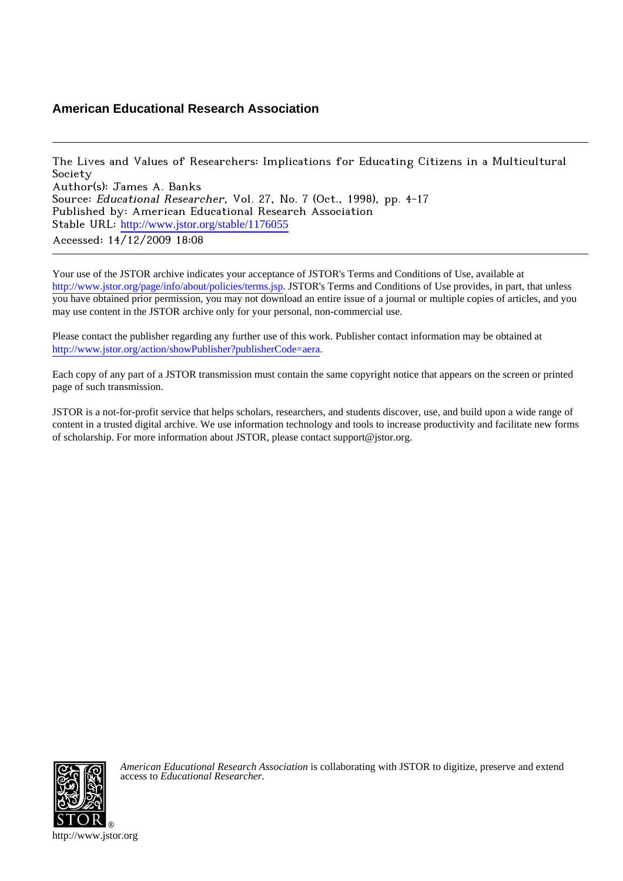#### **American Educational Research Association**

The Lives and Values of Researchers: Implications for Educating Citizens in a Multicultural Society Author(s): James A. Banks Source: Educational Researcher, Vol. 27, No. 7 (Oct., 1998), pp. 4-17 Published by: American Educational Research Association Stable URL: [http://www.jstor.org/stable/1176055](http://www.jstor.org/stable/1176055?origin=JSTOR-pdf) Accessed: 14/12/2009 18:08

Your use of the JSTOR archive indicates your acceptance of JSTOR's Terms and Conditions of Use, available at <http://www.jstor.org/page/info/about/policies/terms.jsp>. JSTOR's Terms and Conditions of Use provides, in part, that unless you have obtained prior permission, you may not download an entire issue of a journal or multiple copies of articles, and you may use content in the JSTOR archive only for your personal, non-commercial use.

Please contact the publisher regarding any further use of this work. Publisher contact information may be obtained at [http://www.jstor.org/action/showPublisher?publisherCode=aera.](http://www.jstor.org/action/showPublisher?publisherCode=aera)

Each copy of any part of a JSTOR transmission must contain the same copyright notice that appears on the screen or printed page of such transmission.

JSTOR is a not-for-profit service that helps scholars, researchers, and students discover, use, and build upon a wide range of content in a trusted digital archive. We use information technology and tools to increase productivity and facilitate new forms of scholarship. For more information about JSTOR, please contact support@jstor.org.



*American Educational Research Association* is collaborating with JSTOR to digitize, preserve and extend access to *Educational Researcher.*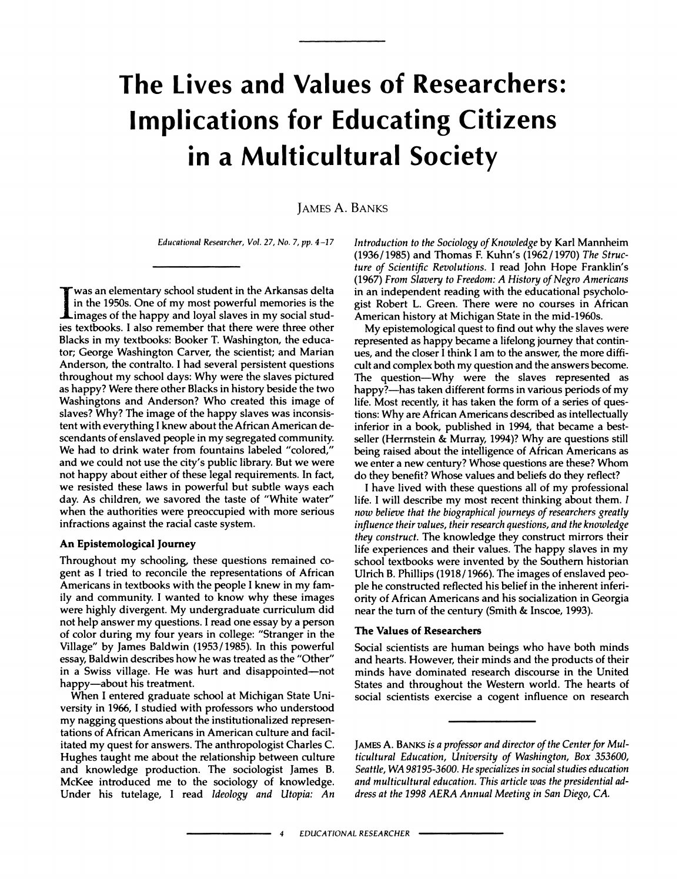## **The Lives and Values of Researchers: Implications for Educating Citizens in a Multicultural Society**

**JAMES A. BANKS** 

**Educational Researcher, Vol. 27, No. 7, pp. 4-17** 

**was an elementary school student in the Arkansas delta in the 1950s. One of my most powerful memories is the images of the happy and loyal slaves in my social studies textbooks. I also remember that there were three other Blacks in my textbooks: Booker T. Washington, the educator; George Washington Carver, the scientist; and Marian Anderson, the contralto. I had several persistent questions throughout my school days: Why were the slaves pictured as happy? Were there other Blacks in history beside the two Washingtons and Anderson? Who created this image of slaves? Why? The image of the happy slaves was inconsistent with everything I knew about the African American descendants of enslaved people in my segregated community. "We had to drink water from fountains labeled "colored," and we could not use the city's public library. But we were not happy about either of these legal requirements. In fact, we resisted these laws in powerful but subtle ways each day. As children, we savored the taste of "White water" when the authorities were preoccupied with more serious infractions against the racial caste system.** 

#### **An Epistemological Journey**

**Throughout my schooling, these questions remained cogent as I tried to reconcile the representations of African Americans in textbooks with the people I knew in my family and community. I wanted to know why these images were highly divergent. My undergraduate curriculum did not help answer my questions. I read one essay by a person of color during my four years in college: "Stranger in the Village" by James Baldwin (1953/1985). In this powerful essay, Baldwin describes how he was treated as the "Other"**  in a Swiss village. He was hurt and disappointed-not **happy-about his treatment.** 

**When I entered graduate school at Michigan State University in 1966, I studied with professors who understood my nagging questions about the institutionalized representations of African Americans in American culture and facilitated my quest for answers. The anthropologist Charles C. Hughes taught me about the relationship between culture and knowledge production. The sociologist James B. McKee introduced me to the sociology of knowledge. Under his tutelage, I read Ideology and Utopia: An**  **Introduction to the Sociology of Knowledge by Karl Mannheim (1936/1985) and Thomas F. Kuhn's (1962/1970) The Structure of Scientific Revolutions. I read John Hope Franklin's (1967) From Slavery to Freedom: A History of Negro Americans in an independent reading with the educational psychologist Robert L. Green. There were no courses in African American history at Michigan State in the mid-1960s.** 

**My epistemological quest to find out why the slaves were represented as happy became a lifelong journey that continues, and the closer I think I am to the answer, the more difficult and complex both my question and the answers become. The question-Why were the slaves represented as happy?-has taken different forms in various periods of my life. Most recently, it has taken the form of a series of questions: Why are African Americans described as intellectually inferior in a book, published in 1994, that became a bestseller (Hermstein & Murray, 1994)? Why are questions still being raised about the intelligence of African Americans as we enter a new century? Whose questions are these? Whom do they benefit? Whose values and beliefs do they reflect?** 

**I have lived with these questions all of my professional life. I will describe my most recent thinking about them. I now believe that the biographical journeys of researchers greatly influence their values, their research questions, and the knowledge they construct. The knowledge they construct mirrors their life experiences and their values. The happy slaves in my school textbooks were invented by the Southern historian Ulrich B. Phillips (1918/1966). The images of enslaved people he constructed reflected his belief in the inherent inferiority of African Americans and his socialization in Georgia near the turn of the century (Smith & Inscoe, 1993).** 

#### **The Values of Researchers**

**Social scientists are human beings who have both minds and hearts. However, their minds and the products of their minds have dominated research discourse in the United States and throughout the Western world. The hearts of social scientists exercise a cogent influence on research** 

JAMES A. BANKS is a professor and director of the Center for Mul**ticultural Education, University of Washington, Box 353600, Seattle, WA 98195-3600. He specializes in social studies education and multicultural education. This article was the presidential address at the 1998 AERA Annual Meeting in San Diego, CA.**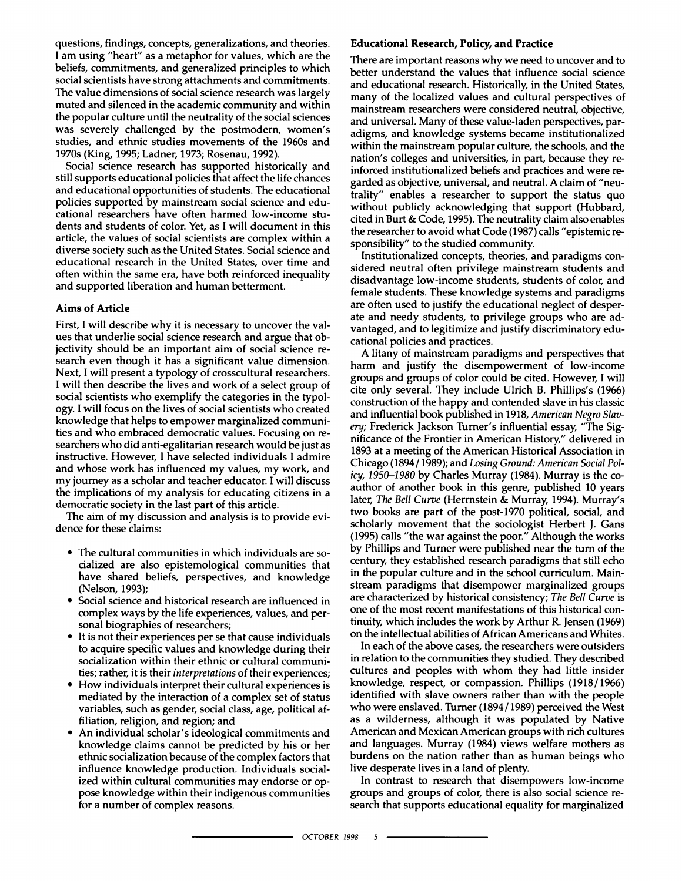**questions, findings, concepts, generalizations, and theories. I am using "heart" as a metaphor for values, which are the beliefs, commitments, and generalized principles to which social scientists have strong attachments and commitments. The value dimensions of social science research was largely muted and silenced in the academic community and within the popular culture until the neutrality of the social sciences was severely challenged by the postmodern, women's studies, and ethnic studies movements of the 1960s and 1970s (King, 1995; Ladner, 1973; Rosenau, 1992).** 

**Social science research has supported historically and still supports educational policies that affect the life chances and educational opportunities of students. The educational policies supported by mainstream social science and educational researchers have often harmed low-income students and students of color. Yet, as I will document in this article, the values of social scientists are complex within a diverse society such as the United States. Social science and educational research in the United States, over time and often within the same era, have both reinforced inequality and supported liberation and human betterment.** 

#### **Aims of Article**

**First, I will describe why it is necessary to uncover the values that underlie social science research and argue that objectivity should be an important aim of social science research even though it has a significant value dimension. Next, I will present a typology of crosscultural researchers. I will then describe the lives and work of a select group of social scientists who exemplify the categories in the typology. I will focus on the lives of social scientists who created knowledge that helps to empower marginalized communities and who embraced democratic values. Focusing on researchers who did anti-egalitarian research would be just as instructive. However, I have selected individuals I admire and whose work has influenced my values, my work, and my journey as a scholar and teacher educator. I will discuss the implications of my analysis for educating citizens in a democratic society in the last part of this article.** 

**The aim of my discussion and analysis is to provide evidence for these claims:** 

- **"\* The cultural communities in which individuals are socialized are also epistemological communities that have shared beliefs, perspectives, and knowledge (Nelson, 1993);**
- **"\* Social science and historical research are influenced in complex ways by the life experiences, values, and personal biographies of researchers;**
- **\* It is not their experiences per se that cause individuals to acquire specific values and knowledge during their socialization within their ethnic or cultural communities; rather, it is their interpretations of their experiences; \* How individuals interpret their cultural experiences is**
- **mediated by the interaction of a complex set of status variables, such as gender, social class, age, political affiliation, religion, and region; and**
- **\* An individual scholar's ideological commitments and knowledge claims cannot be predicted by his or her ethnic socialization because of the complex factors that influence knowledge production. Individuals socialized within cultural communities may endorse or oppose knowledge within their indigenous communities for a number of complex reasons.**

#### **Educational Research, Policy, and Practice**

**There are important reasons why we need to uncover and to better understand the values that influence social science and educational research. Historically, in the United States, many of the localized values and cultural perspectives of mainstream researchers were considered neutral, objective, and universal. Many of these value-laden perspectives, paradigms, and knowledge systems became institutionalized within the mainstream popular culture, the schools, and the nation's colleges and universities, in part, because they reinforced institutionalized beliefs and practices and were regarded as objective, universal, and neutral. A claim of "neutrality" enables a researcher to support the status quo without publicly acknowledging that support (Hubbard, cited in Burt & Code, 1995). The neutrality claim also enables the researcher to avoid what Code (1987) calls "epistemic responsibility" to the studied community.** 

**Institutionalized concepts, theories, and paradigms considered neutral often privilege mainstream students and disadvantage low-income students, students of color, and female students. These knowledge systems and paradigms are often used to justify the educational neglect of desperate and needy students, to privilege groups who are advantaged, and to legitimize and justify discriminatory educational policies and practices.** 

**A litany of mainstream paradigms and perspectives that harm and justify the disempowerment of low-income groups and groups of color could be cited. However, I will cite only several. They include Ulrich B. Phillips's (1966) construction of the happy and contended slave in his classic and influential book published in 1918, American Negro Slavery; Frederick Jackson Turner's influential essay, "The Significance of the Frontier in American History," delivered in 1893 at a meeting of the American Historical Association in Chicago (1894/1989); and Losing Ground: American Social Policy, 1950-1980 by Charles Murray (1984). Murray is the coauthor of another book in this genre, published 10 years later, The Bell Curve (Hermstein & Murray, 1994). Murray's two books are part of the post-1970 political, social, and scholarly movement that the sociologist Herbert J. Gans (1995) calls "the war against the poor." Although the works by Phillips and Turner were published near the turn of the century, they established research paradigms that still echo in the popular culture and in the school curriculum. Mainstream paradigms that disempower marginalized groups are characterized by historical consistency; The Bell Curve is one of the most recent manifestations of this historical continuity, which includes the work by Arthur R. Jensen (1969) on the intellectual abilities of African Americans and Whites.** 

**In each of the above cases, the researchers were outsiders in relation to the communities they studied. They described cultures and peoples with whom they had little insider knowledge, respect, or compassion. Phillips (1918/1966) identified with slave owners rather than with the people who were enslaved. Turner (1894/1989) perceived the West as a wilderness, although it was populated by Native American and Mexican American groups with rich cultures and languages. Murray (1984) views welfare mothers as burdens on the nation rather than as human beings who live desperate lives in a land of plenty.** 

**In contrast to research that disempowers low-income groups and groups of color, there is also social science research that supports educational equality for marginalized**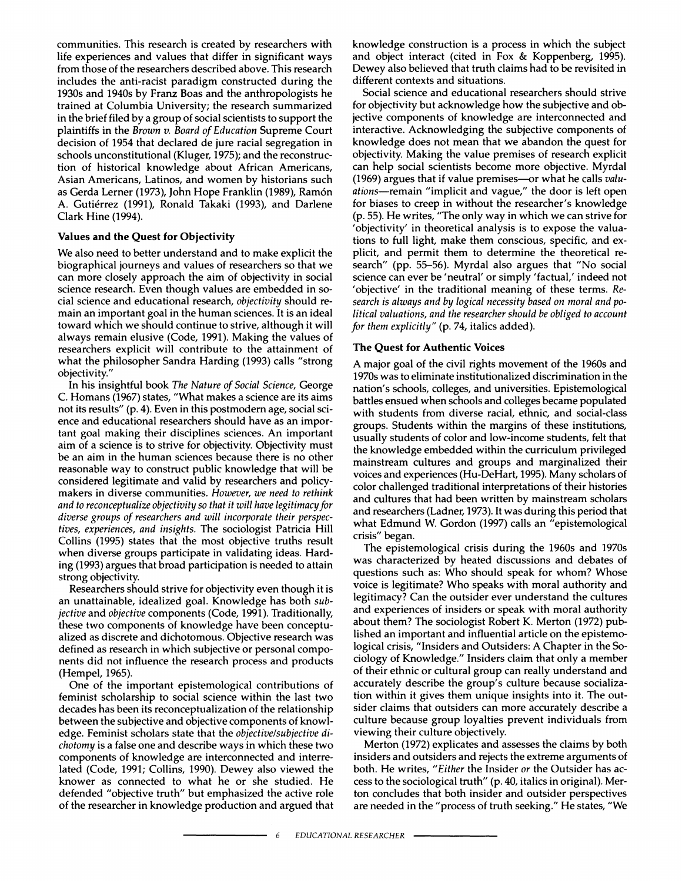**communities. This research is created by researchers with life experiences and values that differ in significant ways from those of the researchers described above. This research includes the anti-racist paradigm constructed during the 1930s and 1940s by Franz Boas and the anthropologists he trained at Columbia University; the research summarized in the brief filed by a group of social scientists to support the plaintiffs in the Brown v. Board of Education Supreme Court decision of 1954 that declared de jure racial segregation in schools unconstitutional (Kluger, 1975); and the reconstruction of historical knowledge about African Americans, Asian Americans, Latinos, and women by historians such as Gerda Lerner (1973), John Hope Franklin (1989), Ram6n A. Gutierrez (1991), Ronald Takaki (1993), and Darlene Clark Hine (1994).** 

#### **Values and the Quest for Objectivity**

**We also need to better understand and to make explicit the biographical journeys and values of researchers so that we can more closely approach the aim of objectivity in social science research. Even though values are embedded in social science and educational research, objectivity should remain an important goal in the human sciences. It is an ideal toward which we should continue to strive, although it will always remain elusive (Code, 1991). Making the values of researchers explicit will contribute to the attainment of what the philosopher Sandra Harding (1993) calls "strong objectivity."** 

**In his insightful book The Nature of Social Science, George C. Homans (1967) states, "What makes a science are its aims not its results" (p. 4). Even in this postmodern age, social science and educational researchers should have as an important goal making their disciplines sciences. An important aim of a science is to strive for objectivity. Objectivity must be an aim in the human sciences because there is no other reasonable way to construct public knowledge that will be considered legitimate and valid by researchers and policymakers in diverse communities. However, we need to rethink and to reconceptualize objectivity so that it will have legitimacy for diverse groups of researchers and will incorporate their perspectives, experiences, and insights. The sociologist Patricia Hill Collins (1995) states that the most objective truths result when diverse groups participate in validating ideas. Harding (1993) argues that broad participation is needed to attain strong objectivity.** 

**Researchers should strive for objectivity even though it is an unattainable, idealized goal. Knowledge has both subjective and objective components (Code, 1991). Traditionally, these two components of knowledge have been conceptualized as discrete and dichotomous. Objective research was defined as research in which subjective or personal components did not influence the research process and products (Hempel, 1965).** 

**One of the important epistemological contributions of feminist scholarship to social science within the last two decades has been its reconceptualization of the relationship between the subjective and objective components of knowledge. Feminist scholars state that the objective/subjective dichotomy is a false one and describe ways in which these two components of knowledge are interconnected and interrelated (Code, 1991; Collins, 1990). Dewey also viewed the knower as connected to what he or she studied. He defended "objective truth" but emphasized the active role of the researcher in knowledge production and argued that** 

**knowledge construction is a process in which the subject and object interact (cited in Fox & Koppenberg, 1995). Dewey also believed that truth claims had to be revisited in different contexts and situations.** 

**Social science and educational researchers should strive for objectivity but acknowledge how the subjective and objective components of knowledge are interconnected and interactive. Acknowledging the subjective components of knowledge does not mean that we abandon the quest for objectivity. Making the value premises of research explicit can help social scientists become more objective. Myrdal (1969) argues that if value premises--or what he calls valuations-remain "implicit and vague," the door is left open for biases to creep in without the researcher's knowledge (p. 55). He writes, "The only way in which we can strive for 'objectivity' in theoretical analysis is to expose the valuations to full light, make them conscious, specific, and explicit, and permit them to determine the theoretical research" (pp. 55-56). Myrdal also argues that "No social science can ever be 'neutral' or simply 'factual,' indeed not 'objective' in the traditional meaning of these terms. Research is always and by logical necessity based on moral and political valuations, and the researcher should be obliged to account for them explicitly" (p. 74, italics added).** 

#### **The Quest for Authentic Voices**

**A major goal of the civil rights movement of the 1960s and 1970s was to eliminate institutionalized discrimination in the nation's schools, colleges, and universities. Epistemological battles ensued when schools and colleges became populated with students from diverse racial, ethnic, and social-class groups. Students within the margins of these institutions, usually students of color and low-income students, felt that the knowledge embedded within the curriculum privileged mainstream cultures and groups and marginalized their voices and experiences (Hu-DeHart, 1995). Many scholars of color challenged traditional interpretations of their histories and cultures that had been written by mainstream scholars and researchers (Ladner, 1973). It was during this period that what Edmund W. Gordon (1997) calls an "epistemological crisis" began.** 

**The epistemological crisis during the 1960s and 1970s was characterized by heated discussions and debates of questions such as: Who should speak for whom? Whose voice is legitimate? Who speaks with moral authority and legitimacy? Can the outsider ever understand the cultures and experiences of insiders or speak with moral authority about them? The sociologist Robert K. Merton (1972) published an important and influential article on the epistemological crisis, "Insiders and Outsiders: A Chapter in the Sociology of Knowledge." Insiders claim that only a member of their ethnic or cultural group can really understand and accurately describe the group's culture because socialization within it gives them unique insights into it. The outsider claims that outsiders can more accurately describe a culture because group loyalties prevent individuals from viewing their culture objectively.** 

**Merton (1972) explicates and assesses the claims by both insiders and outsiders and rejects the extreme arguments of both. He writes, "Either the Insider or the Outsider has access to the sociological truth" (p. 40, italics in original). Merton concludes that both insider and outsider perspectives are needed in the "process of truth seeking." He states, "We**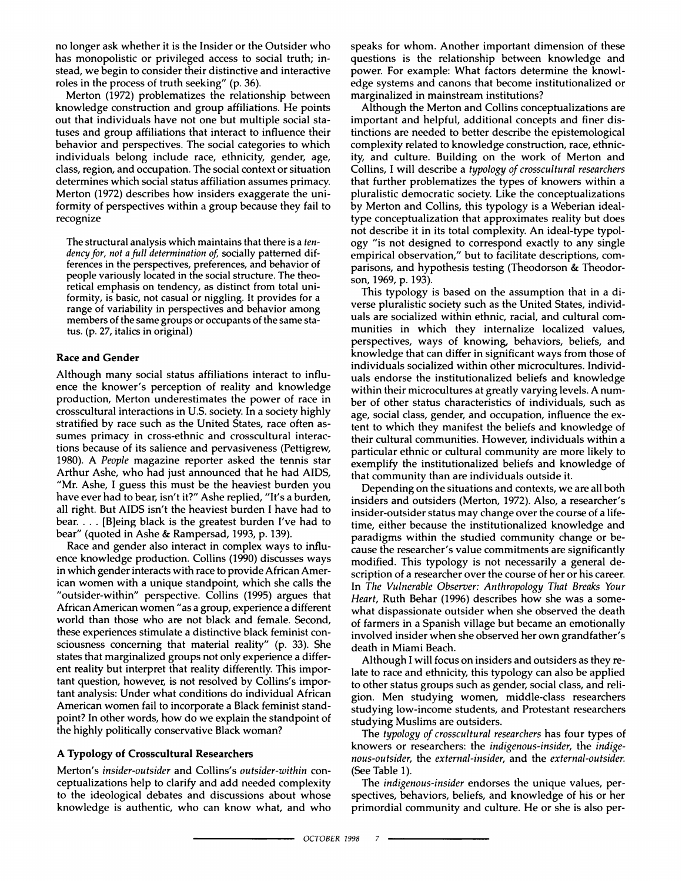**no longer ask whether it is the Insider or the Outsider who has monopolistic or privileged access to social truth; instead, we begin to consider their distinctive and interactive roles in the process of truth seeking" (p. 36).** 

**Merton (1972) problematizes the relationship between knowledge construction and group affiliations. He points out that individuals have not one but multiple social statuses and group affiliations that interact to influence their behavior and perspectives. The social categories to which individuals belong include race, ethnicity, gender, age, class, region, and occupation. The social context or situation determines which social status affiliation assumes primacy. Merton (1972) describes how insiders exaggerate the uniformity of perspectives within a group because they fail to recognize** 

**The structural analysis which maintains that there is a tendency for, not a full determination of, socially patterned differences in the perspectives, preferences, and behavior of people variously located in the social structure. The theoretical emphasis on tendency, as distinct from total uniformity, is basic, not casual or niggling. It provides for a range of variability in perspectives and behavior among members of the same groups or occupants of the same status. (p. 27, italics in original)** 

#### **Race and Gender**

**Although many social status affiliations interact to influence the knower's perception of reality and knowledge production, Merton underestimates the power of race in crosscultural interactions in U.S. society. In a society highly stratified by race such as the United States, race often assumes primacy in cross-ethnic and crosscultural interactions because of its salience and pervasiveness (Pettigrew, 1980). A People magazine reporter asked the tennis star Arthur Ashe, who had just announced that he had AIDS, "Mr. Ashe, I guess this must be the heaviest burden you have ever had to bear, isn't it?" Ashe replied, "It's a burden, all right. But AIDS isn't the heaviest burden I have had to bear.... [B]eing black is the greatest burden I've had to bear" (quoted in Ashe & Rampersad, 1993, p. 139).** 

**Race and gender also interact in complex ways to influence knowledge production. Collins (1990) discusses ways in which gender interacts with race to provide African American women with a unique standpoint, which she calls the "outsider-within" perspective. Collins (1995) argues that African American women "as a group, experience a different world than those who are not black and female. Second, these experiences stimulate a distinctive black feminist consciousness concerning that material reality" (p. 33). She states that marginalized groups not only experience a different reality but interpret that reality differently. This important question, however, is not resolved by Collins's important analysis: Under what conditions do individual African American women fail to incorporate a Black feminist standpoint? In other words, how do we explain the standpoint of the highly politically conservative Black woman?** 

#### **A Typology of Crosscultural Researchers**

**Merton's insider-outsider and Collins's outsider-within conceptualizations help to clarify and add needed complexity to the ideological debates and discussions about whose knowledge is authentic, who can know what, and who**  **speaks for whom. Another important dimension of these questions is the relationship between knowledge and power. For example: What factors determine the knowledge systems and canons that become institutionalized or marginalized in mainstream institutions?** 

**Although the Merton and Collins conceptualizations are important and helpful, additional concepts and finer distinctions are needed to better describe the epistemological complexity related to knowledge construction, race, ethnicity, and culture. Building on the work of Merton and Collins, I will describe a typology of crosscultural researchers that further problematizes the types of knowers within a pluralistic democratic society. Like the conceptualizations by Merton and Collins, this typology is a Weberian idealtype conceptualization that approximates reality but does not describe it in its total complexity. An ideal-type typology "is not designed to correspond exactly to any single empirical observation," but to facilitate descriptions, comparisons, and hypothesis testing (Theodorson & Theodorson, 1969, p. 193).** 

**This typology is based on the assumption that in a diverse pluralistic society such as the United States, individuals are socialized within ethnic, racial, and cultural communities in which they internalize localized values, perspectives, ways of knowing, behaviors, beliefs, and knowledge that can differ in significant ways from those of individuals socialized within other microcultures. Individuals endorse the institutionalized beliefs and knowledge within their microcultures at greatly varying levels. A number of other status characteristics of individuals, such as age, social class, gender, and occupation, influence the extent to which they manifest the beliefs and knowledge of their cultural communities. However, individuals within a particular ethnic or cultural community are more likely to exemplify the institutionalized beliefs and knowledge of that community than are individuals outside it.** 

**Depending on the situations and contexts, we are all both insiders and outsiders (Merton, 1972). Also, a researcher's insider-outsider status may change over the course of a lifetime, either because the institutionalized knowledge and paradigms within the studied community change or because the researcher's value commitments are significantly modified. This typology is not necessarily a general description of a researcher over the course of her or his career. In The Vulnerable Observer: Anthropology That Breaks Your Heart, Ruth Behar (1996) describes how she was a somewhat dispassionate outsider when she observed the death of farmers in a Spanish village but became an emotionally involved insider when she observed her own grandfather's death in Miami Beach.** 

**Although I will focus on insiders and outsiders as they relate to race and ethnicity, this typology can also be applied to other status groups such as gender, social class, and religion. Men studying women, middle-class researchers studying low-income students, and Protestant researchers studying Muslims are outsiders.** 

**The typology of crosscultural researchers has four types of knowers or researchers: the indigenous-insider, the indigenous-outsider, the external-insider, and the external-outsider. (See Table 1).** 

**The indigenous-insider endorses the unique values, perspectives, behaviors, beliefs, and knowledge of his or her primordial community and culture. He or she is also per-**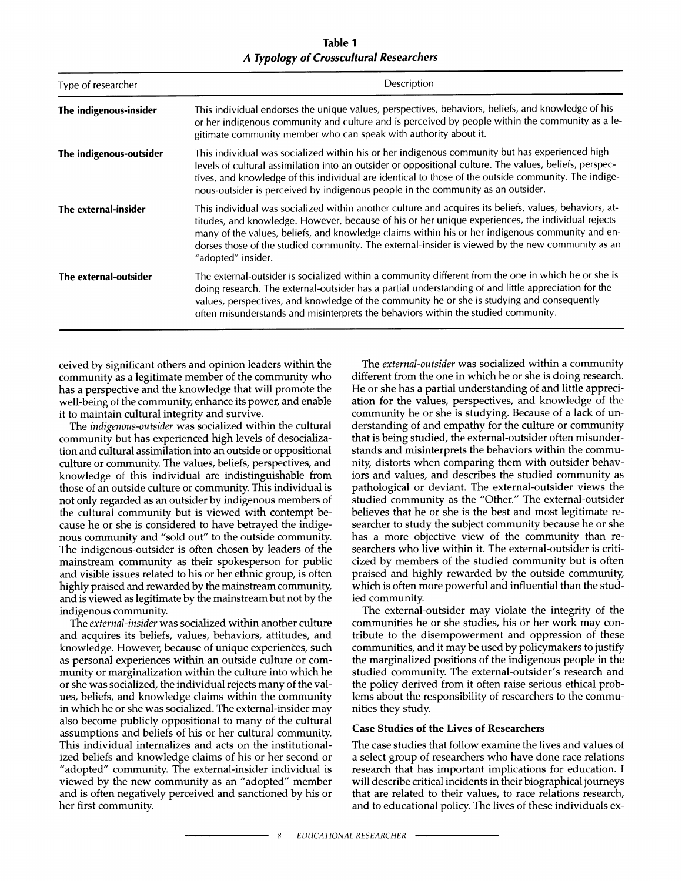**Table 1 A Typology of Crosscultural Researchers** 

| Type of researcher      | Description                                                                                                                                                                                                                                                                                                                                                                                                                               |
|-------------------------|-------------------------------------------------------------------------------------------------------------------------------------------------------------------------------------------------------------------------------------------------------------------------------------------------------------------------------------------------------------------------------------------------------------------------------------------|
| The indigenous-insider  | This individual endorses the unique values, perspectives, behaviors, beliefs, and knowledge of his<br>or her indigenous community and culture and is perceived by people within the community as a le-<br>gitimate community member who can speak with authority about it.                                                                                                                                                                |
| The indigenous-outsider | This individual was socialized within his or her indigenous community but has experienced high<br>levels of cultural assimilation into an outsider or oppositional culture. The values, beliefs, perspec-<br>tives, and knowledge of this individual are identical to those of the outside community. The indige-<br>nous-outsider is perceived by indigenous people in the community as an outsider.                                     |
| The external-insider    | This individual was socialized within another culture and acquires its beliefs, values, behaviors, at-<br>titudes, and knowledge. However, because of his or her unique experiences, the individual rejects<br>many of the values, beliefs, and knowledge claims within his or her indigenous community and en-<br>dorses those of the studied community. The external-insider is viewed by the new community as an<br>"adopted" insider. |
| The external-outsider   | The external-outsider is socialized within a community different from the one in which he or she is<br>doing research. The external-outsider has a partial understanding of and little appreciation for the<br>values, perspectives, and knowledge of the community he or she is studying and consequently<br>often misunderstands and misinterprets the behaviors within the studied community.                                          |

**ceived by significant others and opinion leaders within the community as a legitimate member of the community who has a perspective and the knowledge that will promote the well-being of the community, enhance its power, and enable it to maintain cultural integrity and survive.** 

**The indigenous-outsider was socialized within the cultural community but has experienced high levels of desocialization and cultural assimilation into an outside or oppositional culture or community. The values, beliefs, perspectives, and knowledge of this individual are indistinguishable from those of an outside culture or community. This individual is not only regarded as an outsider by indigenous members of the cultural community but is viewed with contempt because he or she is considered to have betrayed the indigenous community and "sold out" to the outside community. The indigenous-outsider is often chosen by leaders of the mainstream community as their spokesperson for public and visible issues related to his or her ethnic group, is often highly praised and rewarded by the mainstream community, and is viewed as legitimate by the mainstream but not by the indigenous community.** 

**The external-insider was socialized within another culture and acquires its beliefs, values, behaviors, attitudes, and knowledge. However, because of unique experiences, such as personal experiences within an outside culture or community or marginalization within the culture into which he or she was socialized, the individual rejects many of the values, beliefs, and knowledge claims within the community in which he or she was socialized. The external-insider may also become publicly oppositional to many of the cultural assumptions and beliefs of his or her cultural community. This individual internalizes and acts on the institutionalized beliefs and knowledge claims of his or her second or "adopted" community. The external-insider individual is viewed by the new community as an "adopted" member and is often negatively perceived and sanctioned by his or her first community.** 

**The external-outsider was socialized within a community different from the one in which he or she is doing research. He or she has a partial understanding of and little appreciation for the values, perspectives, and knowledge of the community he or she is studying. Because of a lack of understanding of and empathy for the culture or community that is being studied, the external-outsider often misunderstands and misinterprets the behaviors within the community, distorts when comparing them with outsider behaviors and values, and describes the studied community as pathological or deviant. The external-outsider views the studied community as the "Other." The external-outsider believes that he or she is the best and most legitimate researcher to study the subject community because he or she has a more objective view of the community than researchers who live within it. The external-outsider is criticized by members of the studied community but is often praised and highly rewarded by the outside community, which is often more powerful and influential than the studied community.** 

**The external-outsider may violate the integrity of the communities he or she studies, his or her work may contribute to the disempowerment and oppression of these communities, and it may be used by policymakers to justify the marginalized positions of the indigenous people in the studied community. The external-outsider's research and the policy derived from it often raise serious ethical problems about the responsibility of researchers to the communities they study.** 

#### **Case Studies of the Lives of Researchers**

**The case studies that follow examine the lives and values of a select group of researchers who have done race relations research that has important implications for education. I will describe critical incidents in their biographical journeys that are related to their values, to race relations research, and to educational policy. The lives of these individuals ex-**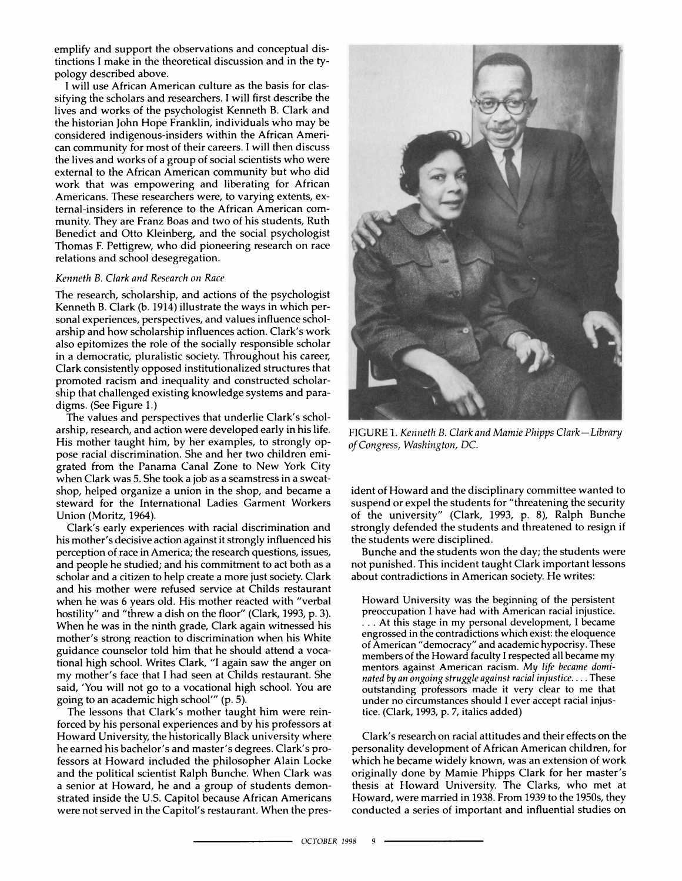**emplify and support the observations and conceptual distinctions I make in the theoretical discussion and in the typology described above.** 

**I will use African American culture as the basis for classifying the scholars and researchers. I will first describe the lives and works of the psychologist Kenneth B. Clark and the historian John Hope Franklin, individuals who may be considered indigenous-insiders within the African American community for most of their careers. I will then discuss the lives and works of a group of social scientists who were external to the African American community but who did work that was empowering and liberating for African Americans. These researchers were, to varying extents, external-insiders in reference to the African American community. They are Franz Boas and two of his students, Ruth Benedict and Otto Kleinberg, and the social psychologist Thomas F. Pettigrew, who did pioneering research on race relations and school desegregation.** 

#### **Kenneth B. Clark and Research on Race**

**The research, scholarship, and actions of the psychologist Kenneth B. Clark (b. 1914) illustrate the ways in which personal experiences, perspectives, and values influence scholarship and how scholarship influences action. Clark's work also epitomizes the role of the socially responsible scholar in a democratic, pluralistic society. Throughout his career, Clark consistently opposed institutionalized structures that promoted racism and inequality and constructed scholarship that challenged existing knowledge systems and paradigms. (See Figure 1.)** 

**The values and perspectives that underlie Clark's scholarship, research, and action were developed early in his life. His mother taught him, by her examples, to strongly oppose racial discrimination. She and her two children emigrated from the Panama Canal Zone to New York City when Clark was 5. She took a job as a seamstress in a sweatshop, helped organize a union in the shop, and became a steward for the International Ladies Garment Workers Union (Moritz, 1964).** 

**Clark's early experiences with racial discrimination and his mother's decisive action against it strongly influenced his perception of race in America; the research questions, issues, and people he studied; and his commitment to act both as a scholar and a citizen to help create a more just society. Clark and his mother were refused service at Childs restaurant when he was 6 years old. His mother reacted with "verbal hostility" and "threw a dish on the floor" (Clark, 1993, p. 3). When he was in the ninth grade, Clark again witnessed his mother's strong reaction to discrimination when his White guidance counselor told him that he should attend a vocational high school. Writes Clark, "I again saw the anger on my mother's face that I had seen at Childs restaurant. She said, 'You will not go to a vocational high school. You are going to an academic high school'" (p. 5).** 

**The lessons that Clark's mother taught him were reinforced by his personal experiences and by his professors at Howard University, the historically Black university where he earned his bachelor's and master's degrees. Clark's professors at Howard included the philosopher Alain Locke and the political scientist Ralph Bunche. When Clark was a senior at Howard, he and a group of students demonstrated inside the U.S. Capitol because African Americans were not served in the Capitol's restaurant. When the pres-**



**FIGURE 1. Kenneth B. Clark and Mamie Phipps Clark-Library of Congress, Washington, DC.** 

**ident of Howard and the disciplinary committee wanted to suspend or expel the students for "threatening the security of the university" (Clark, 1993, p. 8), Ralph Bunche strongly defended the students and threatened to resign if the students were disciplined.** 

**Bunche and the students won the day; the students were not punished. This incident taught Clark important lessons about contradictions in American society. He writes:** 

**Howard University was the beginning of the persistent preoccupation I have had with American racial injustice. ... At this stage in my personal development, I became engrossed in the contradictions which exist: the eloquence of American "democracy" and academic hypocrisy. These members of the Howard faculty I respected all became my mentors against American racism. My life became dominated by an ongoing struggle against racial injustice.... These outstanding professors made it very clear to me that under no circumstances should I ever accept racial injustice. (Clark, 1993, p. 7, italics added)** 

**Clark's research on racial attitudes and their effects on the personality development of African American children, for which he became widely known, was an extension of work originally done by Mamie Phipps Clark for her master's thesis at Howard University. The Clarks, who met at Howard, were married in 1938. From 1939 to the 1950s, they conducted a series of important and influential studies on**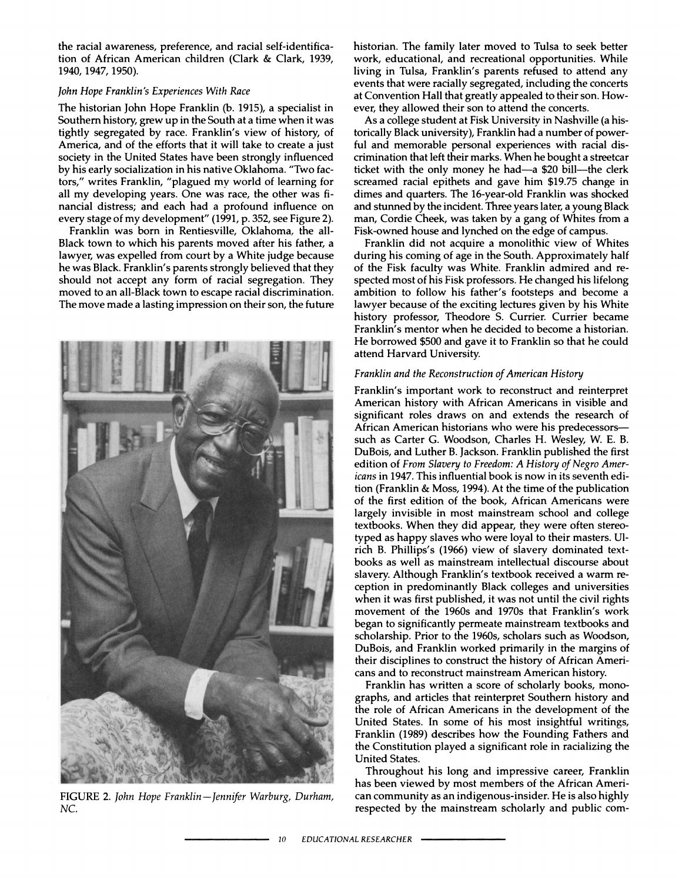**the racial awareness, preference, and racial self-identification of African American children (Clark & Clark, 1939, 1940, 1947, 1950).** 

#### **John Hope Franklin's Experiences With Race**

**The historian John Hope Franklin (b. 1915), a specialist in Southern history, grew up in the South at a time when it was tightly segregated by race. Franklin's view of history, of America, and of the efforts that it will take to create a just society in the United States have been strongly influenced by his early socialization in his native Oklahoma. "Two factors," writes Franklin, "plagued my world of learning for all my developing years. One was race, the other was financial distress; and each had a profound influence on every stage of my development" (1991, p. 352, see Figure 2).** 

**Franklin was born in Rentiesville, Oklahoma, the all-Black town to which his parents moved after his father, a lawyer, was expelled from court by a White judge because he was Black. Franklin's parents strongly believed that they should not accept any form of racial segregation. They moved to an all-Black town to escape racial discrimination. The move made a lasting impression on their son, the future** 



**FIGURE 2. John Hope Franklin--Jennifer Warburg, Durham, NC.** 

**historian. The family later moved to Tulsa to seek better work, educational, and recreational opportunities. While living in Tulsa, Franklin's parents refused to attend any events that were racially segregated, including the concerts at Convention Hall that greatly appealed to their son. However, they allowed their son to attend the concerts.** 

**As a college student at Fisk University in Nashville (a historically Black university), Franklin had a number of powerful and memorable personal experiences with racial discrimination that left their marks. When he bought a streetcar ticket with the only money he had-a \$20 bill-the clerk screamed racial epithets and gave him \$19.75 change in dimes and quarters. The 16-year-old Franklin was shocked and stunned by the incident. Three years later, a young Black man, Cordie Cheek, was taken by a gang of Whites from a Fisk-owned house and lynched on the edge of campus.** 

**Franklin did not acquire a monolithic view of Whites during his coming of age in the South. Approximately half of the Fisk faculty was White. Franklin admired and respected most of his Fisk professors. He changed his lifelong ambition to follow his father's footsteps and become a lawyer because of the exciting lectures given by his White history professor, Theodore S. Currier. Currier became Franklin's mentor when he decided to become a historian. He borrowed \$500 and gave it to Franklin so that he could attend Harvard University.** 

#### **Franklin and the Reconstruction of American History**

**Franklin's important work to reconstruct and reinterpret American history with African Americans in visible and significant roles draws on and extends the research of African American historians who were his predecessorssuch as Carter G. Woodson, Charles H. Wesley, W. E. B. DuBois, and Luther B. Jackson. Franklin published the first edition of From Slavery to Freedom: A History of Negro Americans in 1947. This influential book is now in its seventh edition (Franklin & Moss, 1994). At the time of the publication of the first edition of the book, African Americans were largely invisible in most mainstream school and college textbooks. When they did appear, they were often stereotyped as happy slaves who were loyal to their masters. Ulrich B. Phillips's (1966) view of slavery dominated textbooks as well as mainstream intellectual discourse about slavery. Although Franklin's textbook received a warm reception in predominantly Black colleges and universities when it was first published, it was not until the civil rights movement of the 1960s and 1970s that Franklin's work began to significantly permeate mainstream textbooks and scholarship. Prior to the 1960s, scholars such as Woodson, DuBois, and Franklin worked primarily in the margins of their disciplines to construct the history of African Americans and to reconstruct mainstream American history.** 

**Franklin has written a score of scholarly books, monographs, and articles that reinterpret Southern history and the role of African Americans in the development of the United States. In some of his most insightful writings, Franklin (1989) describes how the Founding Fathers and the Constitution played a significant role in racializing the United States.** 

**Throughout his long and impressive career, Franklin has been viewed by most members of the African American community as an indigenous-insider. He is also highly respected by the mainstream scholarly and public com-**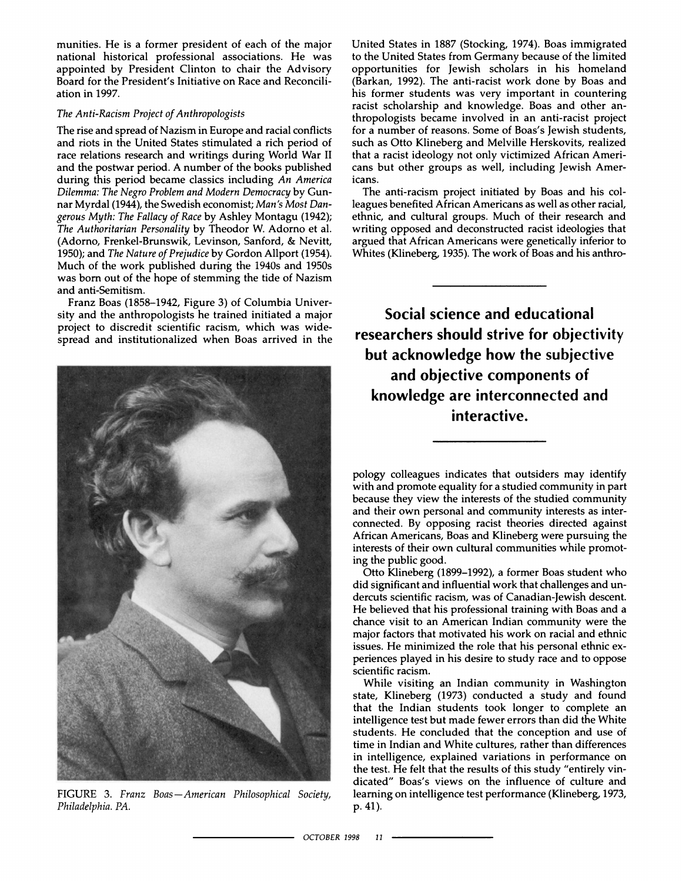**munities. He is a former president of each of the major national historical professional associations. He was appointed by President Clinton to chair the Advisory Board for the President's Initiative on Race and Reconciliation in 1997.** 

#### **The Anti-Racism Project of Anthropologists**

**The rise and spread of Nazism in Europe and racial conflicts and riots in the United States stimulated a rich period of race relations research and writings during World War II and the postwar period. A number of the books published during this period became classics including An America Dilemma: The Negro Problem and Modern Democracy by Gunnar Myrdal (1944), the Swedish economist; Man's Most Dangerous Myth: The Fallacy of Race by Ashley Montagu (1942); The Authoritarian Personality by Theodor W. Adorno et al. (Adorno, Frenkel-Brunswik, Levinson, Sanford, & Nevitt, 1950); and The Nature of Prejudice by Gordon Allport (1954). Much of the work published during the 1940s and 1950s was born out of the hope of stemming the tide of Nazism and anti-Semitism.** 

**Franz Boas (1858-1942, Figure 3) of Columbia University and the anthropologists he trained initiated a major project to discredit scientific racism, which was widespread and institutionalized when Boas arrived in the** 



FIGURE 3. Franz Boas-American Philosophical Society, **Philadelphia. PA.** 

**United States in 1887 (Stocking, 1974). Boas immigrated to the United States from Germany because of the limited opportunities for Jewish scholars in his homeland (Barkan, 1992). The anti-racist work done by Boas and his former students was very important in countering racist scholarship and knowledge. Boas and other anthropologists became involved in an anti-racist project for a number of reasons. Some of Boas's Jewish students, such as Otto Klineberg and Melville Herskovits, realized that a racist ideology not only victimized African Americans but other groups as well, including Jewish Americans.** 

**The anti-racism project initiated by Boas and his colleagues benefited African Americans as well as other racial, ethnic, and cultural groups. Much of their research and writing opposed and deconstructed racist ideologies that argued that African Americans were genetically inferior to Whites (Klineberg, 1935). The work of Boas and his anthro-**

**Social science and educational researchers should strive for objectivity but acknowledge how the subjective and objective components of knowledge are interconnected and interactive.** 

**pology colleagues indicates that outsiders may identify with and promote equality for a studied community in part because they view the interests of the studied community and their own personal and community interests as interconnected. By opposing racist theories directed against African Americans, Boas and Klineberg were pursuing the interests of their own cultural communities while promoting the public good.** 

**Otto Klineberg (1899-1992), a former Boas student who did significant and influential work that challenges and undercuts scientific racism, was of Canadian-Jewish descent. He believed that his professional training with Boas and a chance visit to an American Indian community were the major factors that motivated his work on racial and ethnic issues. He minimized the role that his personal ethnic experiences played in his desire to study race and to oppose scientific racism.** 

**While visiting an Indian community in Washington state, Klineberg (1973) conducted a study and found that the Indian students took longer to complete an intelligence test but made fewer errors than did the White students. He concluded that the conception and use of time in Indian and White cultures, rather than differences in intelligence, explained variations in performance on the test. He felt that the results of this study "entirely vindicated" Boas's views on the influence of culture and learning on intelligence test performance (Klineberg, 1973, p. 41).**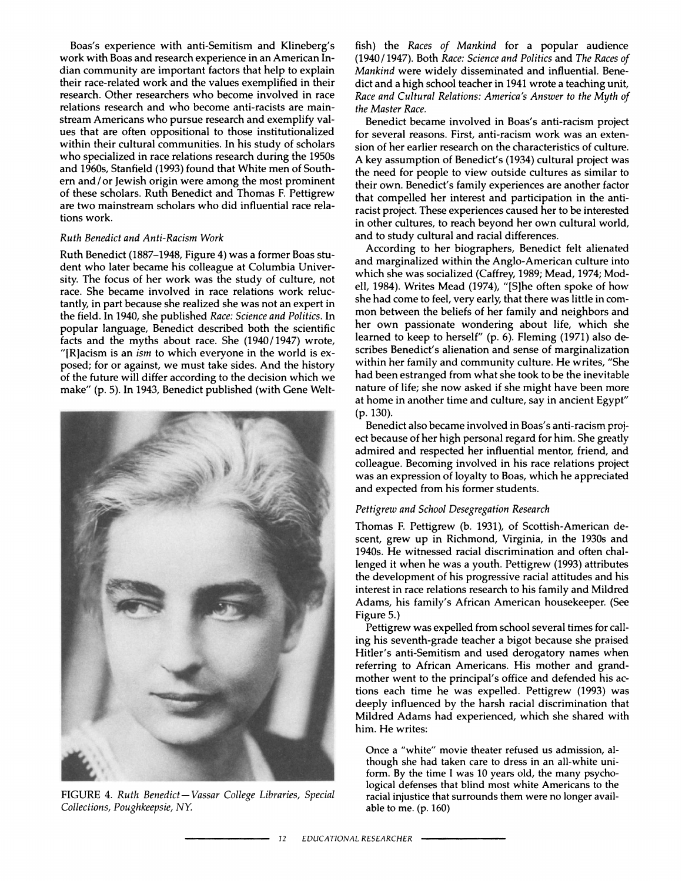**Boas's experience with anti-Semitism and Klineberg's work with Boas and research experience in an American Indian community are important factors that help to explain their race-related work and the values exemplified in their research. Other researchers who become involved in race relations research and who become anti-racists are mainstream Americans who pursue research and exemplify values that are often oppositional to those institutionalized within their cultural communities. In his study of scholars who specialized in race relations research during the 1950s and 1960s, Stanfield (1993) found that White men of Southern and / or Jewish origin were among the most prominent of these scholars. Ruth Benedict and Thomas F. Pettigrew are two mainstream scholars who did influential race relations work.** 

#### **Ruth Benedict and Anti-Racism Work**

**Ruth Benedict (1887-1948, Figure 4) was a former Boas student who later became his colleague at Columbia University. The focus of her work was the study of culture, not race. She became involved in race relations work reluctantly, in part because she realized she was not an expert in the field. In 1940, she published Race: Science and Politics. In popular language, Benedict described both the scientific facts and the myths about race. She (1940/1947) wrote, "[R]acism is an ism to which everyone in the world is exposed; for or against, we must take sides. And the history of the future will differ according to the decision which we make" (p. 5). In 1943, Benedict published (with Gene Welt-**



FIGURE 4. Ruth Benedict-Vassar College Libraries, Special **Collections, Poughkeepsie, NY.** 

**fish) the Races of Mankind for a popular audience (1940/1947). Both Race: Science and Politics and The Races of Mankind were widely disseminated and influential. Benedict and a high school teacher in 1941 wrote a teaching unit, Race and Cultural Relations: America's Answer to the Myth of the Master Race.** 

**Benedict became involved in Boas's anti-racism project for several reasons. First, anti-racism work was an extension of her earlier research on the characteristics of culture. A key assumption of Benedict's (1934) cultural project was the need for people to view outside cultures as similar to their own. Benedict's family experiences are another factor that compelled her interest and participation in the antiracist project. These experiences caused her to be interested in other cultures, to reach beyond her own cultural world, and to study cultural and racial differences.** 

**According to her biographers, Benedict felt alienated and marginalized within the Anglo-American culture into which she was socialized (Caffrey, 1989; Mead, 1974; Modell, 1984). Writes Mead (1974), "[S]he often spoke of how she had come to feel, very early, that there was little in common between the beliefs of her family and neighbors and her own passionate wondering about life, which she learned to keep to herself" (p. 6). Fleming (1971) also describes Benedict's alienation and sense of marginalization within her family and community culture. He writes, "She had been estranged from what she took to be the inevitable nature of life; she now asked if she might have been more at home in another time and culture, say in ancient Egypt" (p. 130).** 

**Benedict also became involved in Boas's anti-racism project because of her high personal regard for him. She greatly admired and respected her influential mentor, friend, and colleague. Becoming involved in his race relations project was an expression of loyalty to Boas, which he appreciated and expected from his former students.** 

#### **Pettigrew and School Desegregation Research**

**Thomas F. Pettigrew (b. 1931), of Scottish-American descent, grew up in Richmond, Virginia, in the 1930s and 1940s. He witnessed racial discrimination and often challenged it when he was a youth. Pettigrew (1993) attributes the development of his progressive racial attitudes and his interest in race relations research to his family and Mildred Adams, his family's African American housekeeper. (See Figure 5.)** 

**Pettigrew was expelled from school several times for calling his seventh-grade teacher a bigot because she praised Hitler's anti-Semitism and used derogatory names when referring to African Americans. His mother and grandmother went to the principal's office and defended his actions each time he was expelled. Pettigrew (1993) was deeply influenced by the harsh racial discrimination that Mildred Adams had experienced, which she shared with him. He writes:** 

**Once a "white" movie theater refused us admission, although she had taken care to dress in an all-white uniform. By the time I was 10 years old, the many psychological defenses that blind most white Americans to the racial injustice that surrounds them were no longer available to me. (p. 160)**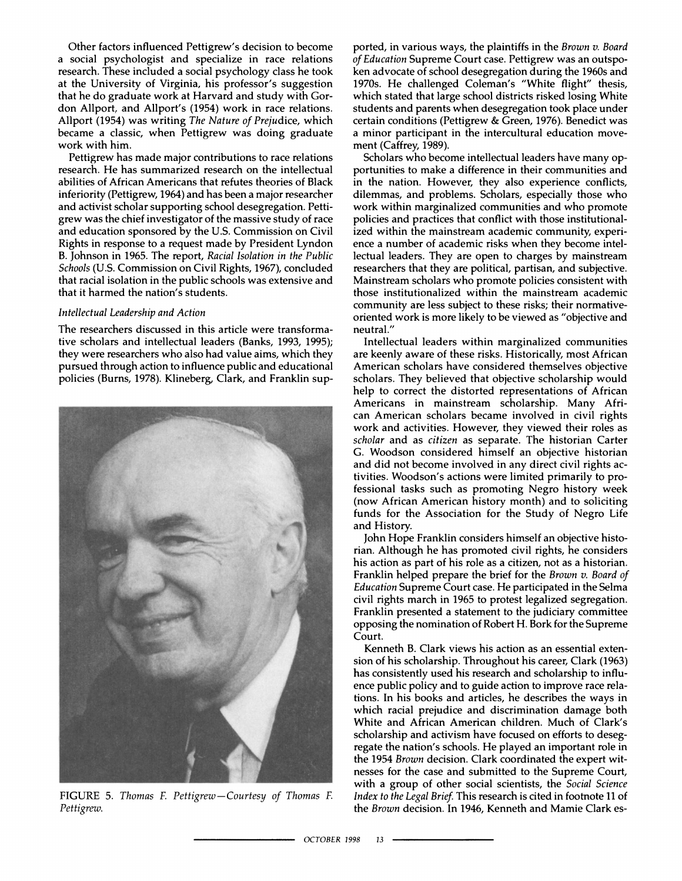**Other factors influenced Pettigrew's decision to become a social psychologist and specialize in race relations research. These included a social psychology class he took at the University of Virginia, his professor's suggestion that he do graduate work at Harvard and study with Gordon Allport, and Allport's (1954) work in race relations. Allport (1954) was writing The Nature of Prejudice, which became a classic, when Pettigrew was doing graduate work with him.** 

**Pettigrew has made major contributions to race relations research. He has summarized research on the intellectual abilities of African Americans that refutes theories of Black inferiority (Pettigrew, 1964) and has been a major researcher and activist scholar supporting school desegregation. Pettigrew was the chief investigator of the massive study of race and education sponsored by the U.S. Commission on Civil Rights in response to a request made by President Lyndon B. Johnson in 1965. The report, Racial Isolation in the Public Schools (U.S. Commission on Civil Rights, 1967), concluded that racial isolation in the public schools was extensive and that it harmed the nation's students.** 

#### **Intellectual Leadership and Action**

**The researchers discussed in this article were transformative scholars and intellectual leaders (Banks, 1993, 1995); they were researchers who also had value aims, which they pursued through action to influence public and educational policies (Burns, 1978). Klineberg, Clark, and Franklin sup-**



FIGURE 5. Thomas F. Pettigrew-Courtesy of Thomas F. **Pettigrew.** 

**ported, in various ways, the plaintiffs in the Brown v. Board of Education Supreme Court case. Pettigrew was an outspoken advocate of school desegregation during the 1960s and 1970s. He challenged Coleman's "White flight" thesis, which stated that large school districts risked losing White students and parents when desegregation took place under certain conditions (Pettigrew & Green, 1976). Benedict was a minor participant in the intercultural education movement (Caffrey, 1989).** 

**Scholars who become intellectual leaders have many opportunities to make a difference in their communities and in the nation. However, they also experience conflicts, dilemmas, and problems. Scholars, especially those who work within marginalized communities and who promote policies and practices that conflict with those institutionalized within the mainstream academic community, experience a number of academic risks when they become intellectual leaders. They are open to charges by mainstream researchers that they are political, partisan, and subjective. Mainstream scholars who promote policies consistent with those institutionalized within the mainstream academic community are less subject to these risks; their normativeoriented work is more likely to be viewed as "objective and neutral."** 

**Intellectual leaders within marginalized communities are keenly aware of these risks. Historically, most African American scholars have considered themselves objective scholars. They believed that objective scholarship would help to correct the distorted representations of African Americans in mainstream scholarship. Many African American scholars became involved in civil rights work and activities. However, they viewed their roles as scholar and as citizen as separate. The historian Carter G. Woodson considered himself an objective historian and did not become involved in any direct civil rights activities. Woodson's actions were limited primarily to professional tasks such as promoting Negro history week (now African American history month) and to soliciting funds for the Association for the Study of Negro Life and History.** 

**John Hope Franklin considers himself an objective historian. Although he has promoted civil rights, he considers his action as part of his role as a citizen, not as a historian. Franklin helped prepare the brief for the Brown v. Board of Education Supreme Court case. He participated in the Selma civil rights march in 1965 to protest legalized segregation. Franklin presented a statement to the judiciary committee opposing the nomination of Robert H. Bork for the Supreme Court.** 

**Kenneth B. Clark views his action as an essential extension of his scholarship. Throughout his career, Clark (1963) has consistently used his research and scholarship to influence public policy and to guide action to improve race relations. In his books and articles, he describes the ways in which racial prejudice and discrimination damage both White and African American children. Much of Clark's scholarship and activism have focused on efforts to desegregate the nation's schools. He played an important role in the 1954 Brown decision. Clark coordinated the expert witnesses for the case and submitted to the Supreme Court, with a group of other social scientists, the Social Science Index to the Legal Brief. This research is cited in footnote 11 of the Brown decision. In 1946, Kenneth and Mamie Clark es-**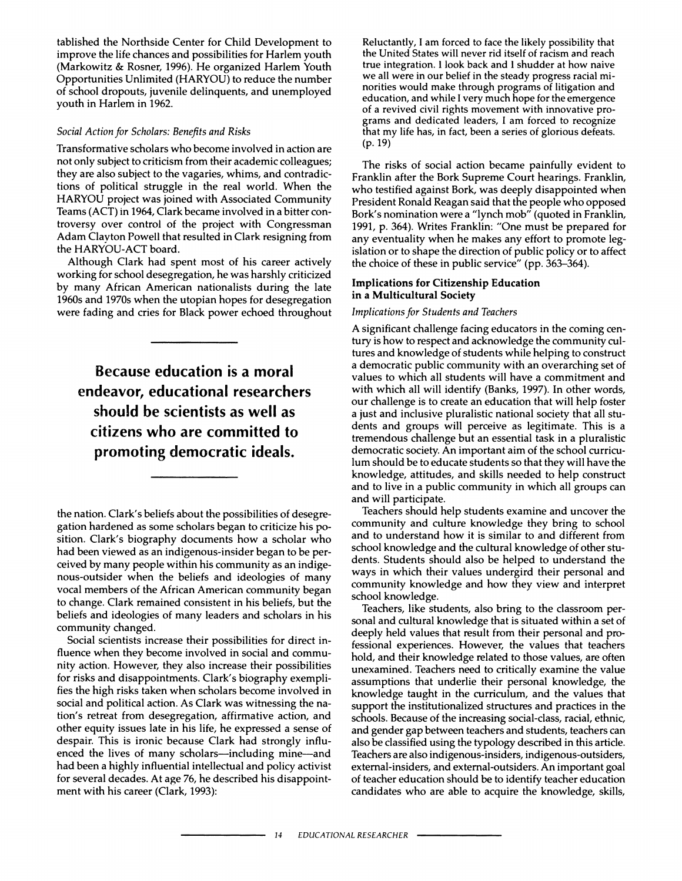**tablished the Northside Center for Child Development to improve the life chances and possibilities for Harlem youth (Markowitz & Rosner, 1996). He organized Harlem Youth Opportunities Unlimited (HARYOU) to reduce the number of school dropouts, juvenile delinquents, and unemployed youth in Harlem in 1962.** 

#### **Social Action for Scholars: Benefits and Risks**

**Transformative scholars who become involved in action are not only subject to criticism from their academic colleagues; they are also subject to the vagaries, whims, and contradictions of political struggle in the real world. When the HARYOU project was joined with Associated Community Teams (ACT) in 1964, Clark became involved in a bitter controversy over control of the project with Congressman Adam Clayton Powell that resulted in Clark resigning from the HARYOU-ACT board.** 

**Although Clark had spent most of his career actively working for school desegregation, he was harshly criticized by many African American nationalists during the late 1960s and 1970s when the utopian hopes for desegregation were fading and cries for Black power echoed throughout** 

**Because education is a moral endeavor, educational researchers should be scientists as well as citizens who are committed to promoting democratic ideals.** 

**the nation. Clark's beliefs about the possibilities of desegregation hardened as some scholars began to criticize his position. Clark's biography documents how a scholar who had been viewed as an indigenous-insider began to be perceived by many people within his community as an indigenous-outsider when the beliefs and ideologies of many vocal members of the African American community began to change. Clark remained consistent in his beliefs, but the beliefs and ideologies of many leaders and scholars in his community changed.** 

**Social scientists increase their possibilities for direct influence when they become involved in social and community action. However, they also increase their possibilities for risks and disappointments. Clark's biography exemplifies the high risks taken when scholars become involved in social and political action. As Clark was witnessing the nation's retreat from desegregation, affirmative action, and other equity issues late in his life, he expressed a sense of despair. This is ironic because Clark had strongly influ**enced the lives of many scholars-including mine-and **had been a highly influential intellectual and policy activist for several decades. At age 76, he described his disappointment with his career (Clark, 1993):** 

**Reluctantly, I am forced to face the likely possibility that the United States will never rid itself of racism and reach true integration. I look back and I shudder at how naive we all were in our belief in the steady progress racial minorities would make through programs of litigation and education, and while I very much hope for the emergence of a revived civil rights movement with innovative programs and dedicated leaders, I am forced to recognize that my life has, in fact, been a series of glorious defeats. (p. 19)** 

**The risks of social action became painfully evident to Franklin after the Bork Supreme Court hearings. Franklin, who testified against Bork, was deeply disappointed when President Ronald Reagan said that the people who opposed Bork's nomination were a "lynch mob" (quoted in Franklin, 1991, p. 364). Writes Franklin: "One must be prepared for any eventuality when he makes any effort to promote legislation or to shape the direction of public policy or to affect the choice of these in public service" (pp. 363-364).** 

#### **Implications for Citizenship Education in a Multicultural Society**

#### **Implications for Students and Teachers**

**A significant challenge facing educators in the coming century is how to respect and acknowledge the community cultures and knowledge of students while helping to construct a democratic public community with an overarching set of values to which all students will have a commitment and with which all will identify (Banks, 1997). In other words, our challenge is to create an education that will help foster a just and inclusive pluralistic national society that all students and groups will perceive as legitimate. This is a tremendous challenge but an essential task in a pluralistic democratic society. An important aim of the school curriculum should be to educate students so that they will have the knowledge, attitudes, and skills needed to help construct and to live in a public community in which all groups can and will participate.** 

**Teachers should help students examine and uncover the community and culture knowledge they bring to school and to understand how it is similar to and different from school knowledge and the cultural knowledge of other students. Students should also be helped to understand the ways in which their values undergird their personal and community knowledge and how they view and interpret school knowledge.** 

**Teachers, like students, also bring to the classroom personal and cultural knowledge that is situated within a set of deeply held values that result from their personal and professional experiences. However, the values that teachers hold, and their knowledge related to those values, are often unexamined. Teachers need to critically examine the value assumptions that underlie their personal knowledge, the knowledge taught in the curriculum, and the values that support the institutionalized structures and practices in the schools. Because of the increasing social-class, racial, ethnic, and gender gap between teachers and students, teachers can also be classified using the typology described in this article. Teachers are also indigenous-insiders, indigenous-outsiders, external-insiders, and external-outsiders. An important goal of teacher education should be to identify teacher education candidates who are able to acquire the knowledge, skills,**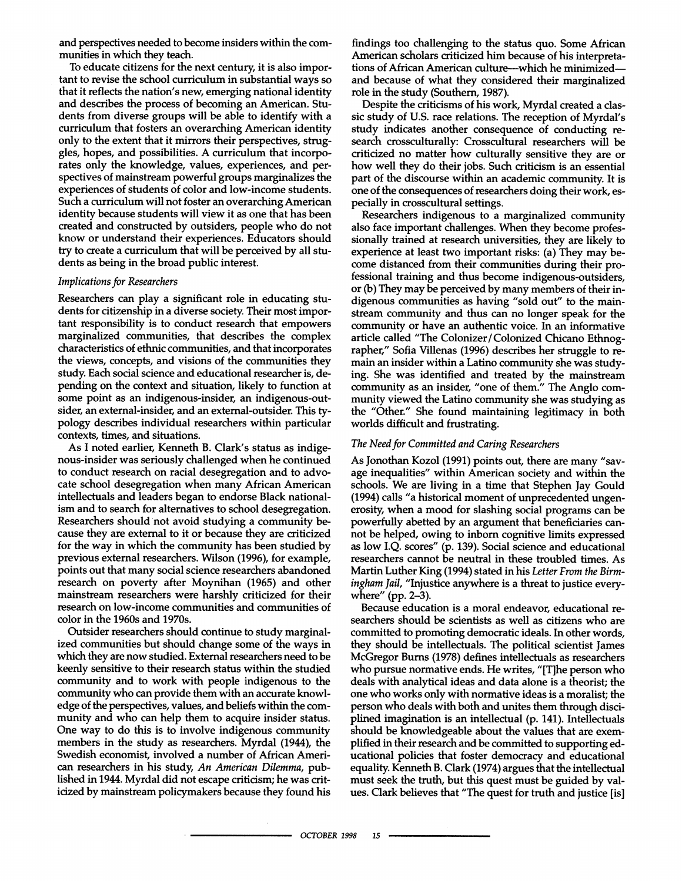**and perspectives needed to become insiders within the communities in which they teach.** 

**To educate citizens for the next century, it is also important to revise the school curriculum in substantial ways so that it reflects the nation's new, emerging national identity and describes the process of becoming an American. Students from diverse groups will be able to identify with a curriculum that fosters an overarching American identity only to the extent that it mirrors their perspectives, struggles, hopes, and possibilities. A curriculum that incorporates only the knowledge, values, experiences, and perspectives of mainstream powerful groups marginalizes the experiences of students of color and low-income students. Such a curriculum will not foster an overarching American identity because students will view it as one that has been created and constructed by outsiders, people who do not know or understand their experiences. Educators should try to create a curriculum that will be perceived by all students as being in the broad public interest.** 

#### **Implications for Researchers**

**Researchers can play a significant role in educating students for citizenship in a diverse society. Their most important responsibility is to conduct research that empowers marginalized communities, that describes the complex characteristics of ethnic communities, and that incorporates the views, concepts, and visions of the communities they study. Each social science and educational researcher is, depending on the context and situation, likely to function at some point as an indigenous-insider, an indigenous-outsider, an external-insider, and an external-outsider. This typology describes individual researchers within particular contexts, times, and situations.** 

**As I noted earlier, Kenneth B. Clark's status as indigenous-insider was seriously challenged when he continued to conduct research on racial desegregation and to advocate school desegregation when many African American intellectuals and leaders began to endorse Black nationalism and to search for alternatives to school desegregation. Researchers should not avoid studying a community because they are external to it or because they are criticized for the way in which the community has been studied by previous external researchers. Wilson (1996), for example, points out that many social science researchers abandoned research on poverty after Moynihan (1965) and other mainstream researchers were harshly criticized for their research on low-income communities and communities of color in the 1960s and 1970s.** 

**Outsider researchers should continue to study marginalized communities but should change some of the ways in which they are now studied. External researchers need to be keenly sensitive to their research status within the studied community and to work with people indigenous to the community who can provide them with an accurate knowledge of the perspectives, values, and beliefs within the community and who can help them to acquire insider status. One way to do this is to involve indigenous community members in the study as researchers. Myrdal (1944), the Swedish economist, involved a number of African American researchers in his study, An American Dilemma, published in 1944. Myrdal did not escape criticism; he was criticized by mainstream policymakers because they found his** 

**findings too challenging to the status quo. Some African American scholars criticized him because of his interpretations of African American culture--which he minimizedand because of what they considered their marginalized role in the study (Southern, 1987).** 

**Despite the criticisms of his work, Myrdal created a classic study of U.S. race relations. The reception of Myrdal's study indicates another consequence of conducting research crossculturally: Crosscultural researchers will be criticized no matter how culturally sensitive they are or how well they do their jobs. Such criticism is an essential part of the discourse within an academic community. It is one of the consequences of researchers doing their work, especially in crosscultural settings.** 

**Researchers indigenous to a marginalized community also face important challenges. When they become professionally trained at research universities, they are likely to experience at least two important risks: (a) They may become distanced from their communities during their professional training and thus become indigenous-outsiders, or (b) They may be perceived by many members of their indigenous communities as having "sold out" to the mainstream community and thus can no longer speak for the community or have an authentic voice. In an informative article called "The Colonizer / Colonized Chicano Ethnographer," Sofia Villenas (1996) describes her struggle to remain an insider within a Latino community she was studying. She was identified and treated by the mainstream community as an insider, "one of them." The Anglo community viewed the Latino community she was studying as the "Other." She found maintaining legitimacy in both worlds difficult and frustrating.** 

#### **The Need for Committed and Caring Researchers**

**As Jonothan Kozol (1991) points out, there are many "savage inequalities" within American society and within the schools. We are living in a time that Stephen Jay Gould (1994) calls "a historical moment of unprecedented ungenerosity, when a mood for slashing social programs can be powerfully abetted by an argument that beneficiaries cannot be helped, owing to inborn cognitive limits expressed as low I.Q. scores" (p. 139). Social science and educational researchers cannot be neutral in these troubled times. As Martin Luther King (1994) stated in his Letter From the Birmingham Jail, "Injustice anywhere is a threat to justice everywhere" (pp. 2-3).** 

**Because education is a moral endeavor, educational researchers should be scientists as well as citizens who are committed to promoting democratic ideals. In other words, they should be intellectuals. The political scientist James McGregor Burns (1978) defines intellectuals as researchers who pursue normative ends. He writes, "[T]he person who deals with analytical ideas and data alone is a theorist; the one who works only with normative ideas is a moralist; the person who deals with both and unites them through disciplined imagination is an intellectual (p. 141). Intellectuals should be knowledgeable about the values that are exemplified in their research and be committed to supporting educational policies that foster democracy and educational equality. Kenneth B. Clark (1974) argues that the intellectual must seek the truth, but this quest must be guided by values. Clark believes that "The quest for truth and justice [is]**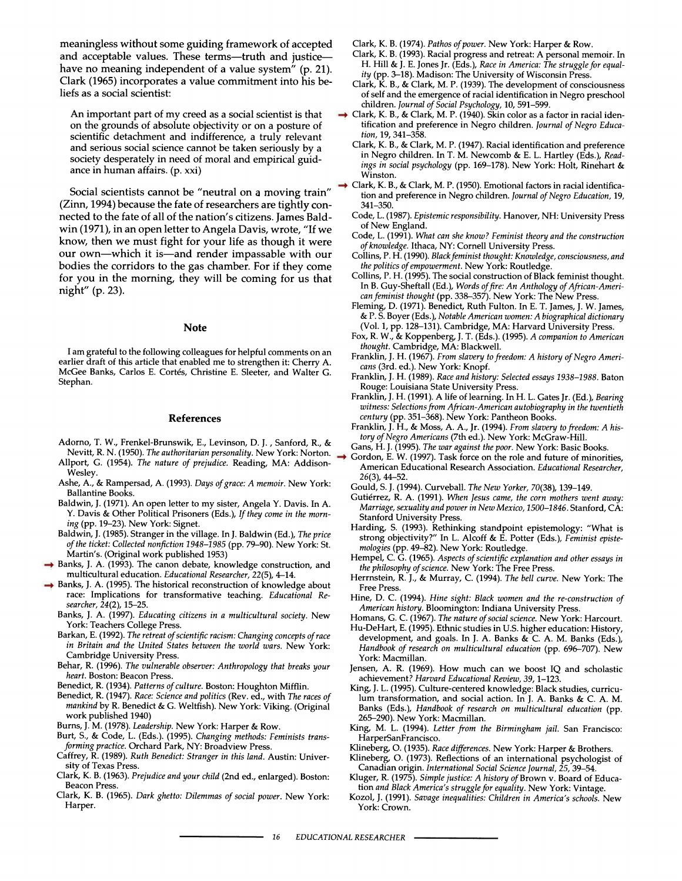**meaningless without some guiding framework of accepted**  and acceptable values. These terms-truth and justice**have no meaning independent of a value system" (p. 21). Clark (1965) incorporates a value commitment into his beliefs as a social scientist:** 

**An important part of my creed as a social scientist is that on the grounds of absolute objectivity or on a posture of scientific detachment and indifference, a truly relevant and serious social science cannot be taken seriously by a society desperately in need of moral and empirical guidance in human affairs. (p. xxi)** 

**Social scientists cannot be "neutral on a moving train" (Zinn, 1994) because the fate of researchers are tightly connected to the fate of all of the nation's citizens. James Baldwin (1971), in an open letter to Angela Davis, wrote, "If we know, then we must fight for your life as though it were our own-which it is-and render impassable with our bodies the corridors to the gas chamber. For if they come for you in the morning, they will be coming for us that night" (p. 23).** 

#### **Note**

**I am grateful to the following colleagues for helpful comments on an earlier draft of this article that enabled me to strengthen it: Cherry A. McGee Banks, Carlos E. Cortes, Christine E. Sleeter, and Walter G. Stephan.** 

#### **References**

- **Adorno, T. W., Frenkel-Brunswik, E., Levinson, D. J. , Sanford, R., & Nevitt, R. N. (1950). The authoritarian personality. New York: Norton.**
- **Allport, G. (1954). The nature of prejudice. Reading, MA: Addison-Wesley.**
- **Ashe, A., & Rampersad, A. (1993). Days of grace: A memoir. New York: Ballantine Books.**
- **Baldwin, J. (1971). An open letter to my sister, Angela Y. Davis. In A. Y. Davis & Other Political Prisoners (Eds.), If they come in the morning (pp. 19-23). New York: Signet.**
- **Baldwin, J. (1985). Stranger in the village. In J. Baldwin (Ed.), The price of the ticket: Collected nonfiction 1948-1985 (pp. 79-90). New York: St. Martin's. (Original work published 1953)**
- **Banks, J. A. (1993). The canon debate, knowledge construction, and multicultural education. Educational Researcher, 22(5), 4-14.**
- **Banks, J. A. (1995). The historical reconstruction of knowledge about race: Implications for transformative teaching. Educational Researcher, 24(2), 15-25.**
- **Banks, J. A. (1997). Educating citizens in a multicultural society. New York: Teachers College Press.**
- **Barkan, E. (1992). The retreat of scientific racism: Changing concepts of race in Britain and the United States between the world wars. New York: Cambridge University Press.**
- **Behar, R. (1996). The vulnerable observer: Anthropology that breaks your heart. Boston: Beacon Press.**
- **Benedict, R. (1934). Patterns of culture. Boston: Houghton Mifflin.**
- **Benedict, R. (1947). Race: Science and politics (Rev. ed., with The races of mankind by R. Benedict & G. Weltfish). New York: Viking. (Original work published 1940)**
- **Burns, J. M. (1978). Leadership. New York: Harper & Row.**
- **Burt, S., & Code, L. (Eds.). (1995). Changing methods: Feminists transforming practice. Orchard Park, NY: Broadview Press.**
- **Caffrey, R. (1989). Ruth Benedict: Stranger in this land. Austin: University of Texas Press.**
- **Clark, K. B. (1963). Prejudice and your child (2nd ed., enlarged). Boston: Beacon Press.**
- **Clark, K. B. (1965). Dark ghetto: Dilemmas of social power. New York: Harper.**

**Clark, K. B. (1974). Pathos of power. New York: Harper & Row.** 

- **Clark, K. B. (1993). Racial progress and retreat: A personal memoir. In H. Hill & J. E. Jones Jr. (Eds.), Race in America: The struggle for equality (pp. 3-18). Madison: The University of Wisconsin Press.**
- **Clark, K. B., & Clark, M. P. (1939). The development of consciousness of self and the emergence of racial identification in Negro preschool children. Journal of Social Psychology, 10, 591-599.**
- **→ Clark, K. B., & Clark, M. P. (1940). Skin color as a factor in racial identification and preference in Negro children. Journal of Negro Education, 19, 341-358.** 
	- **Clark, K. B., & Clark, M. P. (1947). Racial identification and preference in Negro children. In T. M. Newcomb & E. L. Hartley (Eds.), Readings in social psychology (pp. 169-178). New York: Holt, Rinehart & Winston.**
	- **Clark, K. B., & Clark, M. P. (1950). Emotional factors in racial identification and preference in Negro children. Journal of Negro Education, 19, 341-350.**
	- **Code, L. (1987). Epistemic responsibility. Hanover, NH: University Press of New England.**
	- **Code, L. (1991). What can she know? Feminist theory and the construction of knowledge. Ithaca, NY: Cornell University Press.**
	- Collins, P. H. (1990). Black feminist thought: Knowledge, consciousness, and **the politics of empowerment. New York: Routledge.**
	- **Collins, P. H. (1995). The social construction of Black feminist thought.**  In B. Guy-Sheftall (Ed.), Words of fire: An Anthology of African-Ameri**can feminist thought (pp. 338-357). New York: The New Press.**
	- **Fleming, D. (1971). Benedict, Ruth Fulton. In E. T. James, J. W. James, & P. S. Boyer (Eds.), Notable American women: A biographical dictionary (Vol. 1, pp. 128-131). Cambridge, MA: Harvard University Press.**
	- **Fox, R. W., & Koppenberg, J. T. (Eds.). (1995). A companion to American thought. Cambridge, MA: Blackwell.**
	- **Franklin, J. H. (1967). From slavery to freedom: A history of Negro Americans (3rd. ed.). New York: Knopf.**
	- **Franklin, J. H. (1989). Race and history: Selected essays 1938-1988. Baton Rouge: Louisiana State University Press.**
	- **Franklin, J. H. (1991). A life of learning. In H. L. Gates Jr. (Ed.), Bearing witness: Selections from African-American autobiography in the twentieth century (pp. 351-368). New York: Pantheon Books.**
	- **Franklin, J. H., & Moss, A. A., Jr. (1994). From slavery to freedom: A history of Negro Americans (7th ed.). New York: McGraw-Hill.**
	- **Gans, H. J. (1995). The war against the poor. New York: Basic Books.**
	- **Gordon, E. W. (1997). Task force on the role and future of minorities, American Educational Research Association. Educational Researcher, 26(3), 44-52.**
	- **Gould, S. J. (1994). Curveball. The New Yorker, 70(38), 139-149.**
	- Gutiérrez, R. A. (1991). When Jesus came, the corn mothers went away: **Marriage, sexuality and power in New Mexico, 1500-1846. Stanford, CA: Stanford University Press.**
	- **Harding, S. (1993). Rethinking standpoint epistemology: "What is strong objectivity?" In L. Alcoff & E. Potter (Eds.), Feminist epistemologies (pp. 49-82). New York: Routledge.**
	- **Hempel, C. G. (1965). Aspects of scientific explanation and other essays in the philosophy of science. New York: The Free Press.**
	- **Herrnstein, R. J., & Murray, C. (1994). The bell curve. New York: The Free Press.**
	- **Hine, D. C. (1994). Hine sight: Black women and the re-construction of American history. Bloomington: Indiana University Press.**
	- **Homans, G. C. (1967). The nature of social science. New York: Harcourt. Hu-DeHart, E. (1995). Ethnic studies in U.S. higher education: History, development, and goals. In J. A. Banks & C. A. M. Banks (Eds.), Handbook of research on multicultural education (pp. 696-707). New York: Macmillan.**
	- **Jensen, A. R. (1969). How much can we boost IQ and scholastic achievement? Harvard Educational Review, 39, 1-123.**
	- **King, J. L. (1995). Culture-centered knowledge: Black studies, curriculum transformation, and social action. In J. A. Banks & C. A. M. Banks (Eds.), Handbook of research on multicultural education (pp. 265-290). New York: Macmillan.**
	- **King, M. L. (1994). Letter from the Birmingham jail. San Francisco: HarperSanFrancisco.**
	- **Klineberg, O. (1935). Race differences. New York: Harper & Brothers.**
	- **Klineberg, O. (1973). Reflections of an international psychologist of Canadian origin. International Social Science Journal, 25, 39-54.**
	- **Kluger, R. (1975). Simple justice: A history of Brown v. Board of Education and Black America's struggle for equality. New York: Vintage.**
	- **Kozol, J. (1991). Savage inequalities: Children in America's schools. New York: Crown.**